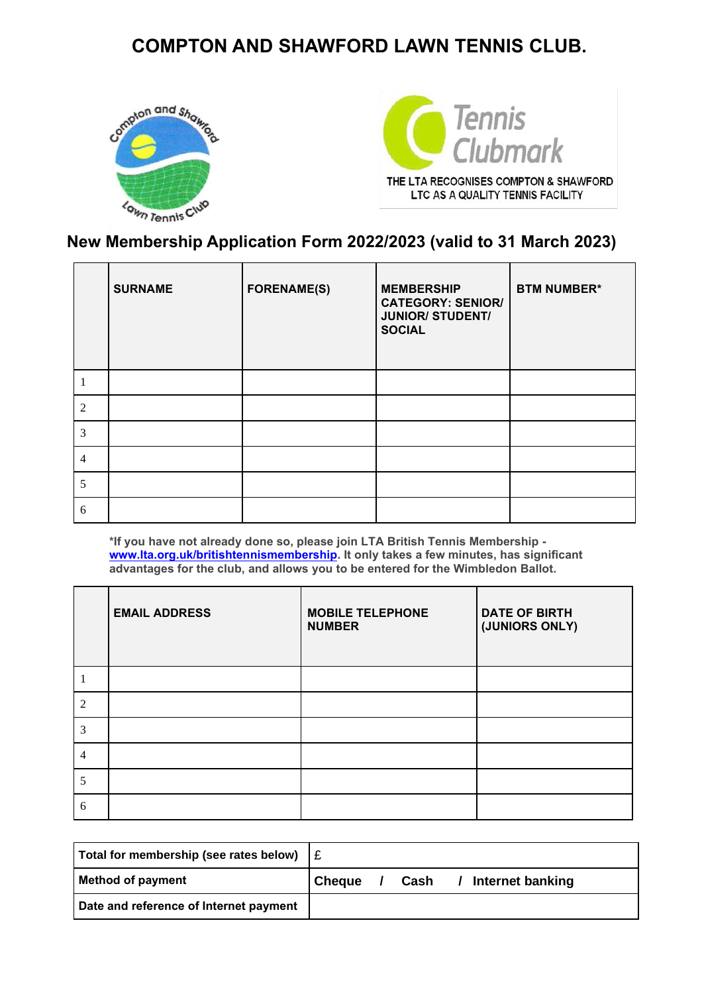# **COMPTON AND SHAWFORD LAWN TENNIS CLUB.**





THE LTA RECOGNISES COMPTON & SHAWFORD LTC AS A QUALITY TENNIS FACILITY

### **New Membership Application Form 2022/2023 (valid to 31 March 2023)**

|   | <b>SURNAME</b> | <b>FORENAME(S)</b> | <b>MEMBERSHIP</b><br><b>CATEGORY: SENIOR/</b><br><b>JUNIOR/ STUDENT/</b><br><b>SOCIAL</b> | <b>BTM NUMBER*</b> |
|---|----------------|--------------------|-------------------------------------------------------------------------------------------|--------------------|
|   |                |                    |                                                                                           |                    |
| 2 |                |                    |                                                                                           |                    |
| 3 |                |                    |                                                                                           |                    |
| 4 |                |                    |                                                                                           |                    |
| 5 |                |                    |                                                                                           |                    |
| 6 |                |                    |                                                                                           |                    |

**\*If you have not already done so, please join LTA British Tennis Membership [www.lta.org.uk/britishtennismembership.](http://www.lta.org.uk/britishtennismembership) It only takes a few minutes, has significant advantages for the club, and allows you to be entered for the Wimbledon Ballot.**

|               | <b>EMAIL ADDRESS</b> | <b>MOBILE TELEPHONE</b><br><b>NUMBER</b> | <b>DATE OF BIRTH</b><br>(JUNIORS ONLY) |
|---------------|----------------------|------------------------------------------|----------------------------------------|
|               |                      |                                          |                                        |
| $\mathcal{D}$ |                      |                                          |                                        |
| 3             |                      |                                          |                                        |
| 4             |                      |                                          |                                        |
| 5             |                      |                                          |                                        |
| 6             |                      |                                          |                                        |

| Total for membership (see rates below) | ∣£            |      |                                     |
|----------------------------------------|---------------|------|-------------------------------------|
| <b>Method of payment</b>               | <b>Cheque</b> | Cash | <b>Internet banking</b><br>$\prime$ |
| Date and reference of Internet payment |               |      |                                     |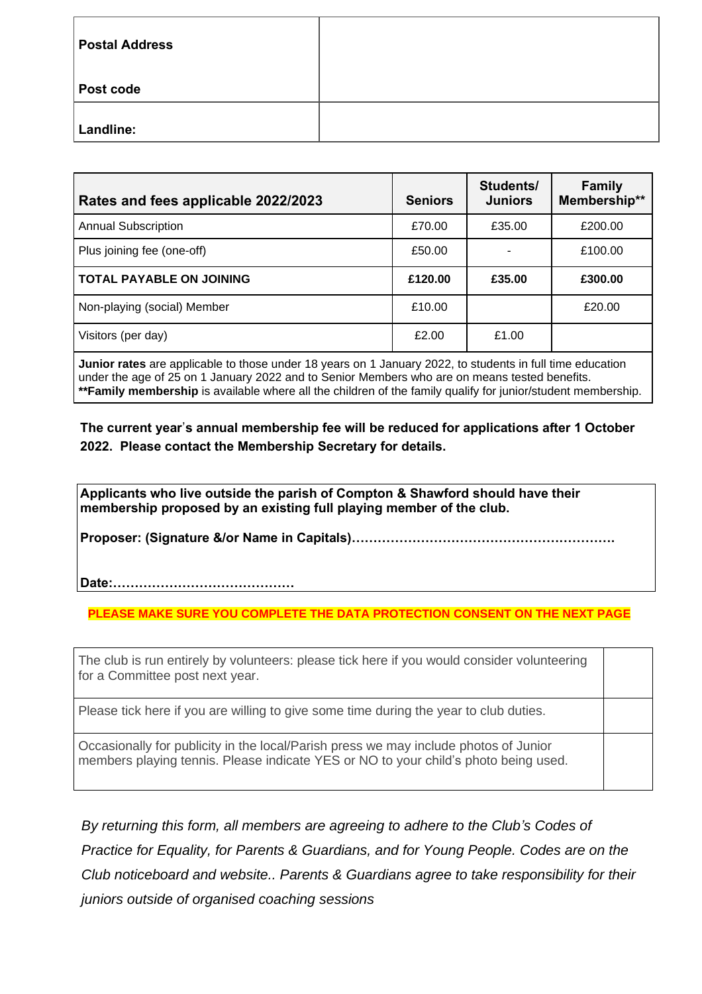| <b>Postal Address</b> |  |
|-----------------------|--|
| Post code             |  |
| Landline:             |  |

| Rates and fees applicable 2022/2023                                                                                                                                                                                                     | <b>Seniors</b> | Students/<br><b>Juniors</b> | <b>Family</b><br>Membership** |  |
|-----------------------------------------------------------------------------------------------------------------------------------------------------------------------------------------------------------------------------------------|----------------|-----------------------------|-------------------------------|--|
| <b>Annual Subscription</b>                                                                                                                                                                                                              | £70.00         | £35.00                      | £200.00                       |  |
| Plus joining fee (one-off)                                                                                                                                                                                                              | £50.00         |                             | £100.00                       |  |
| <b>TOTAL PAYABLE ON JOINING</b>                                                                                                                                                                                                         | £120.00        | £35.00                      | £300.00                       |  |
| Non-playing (social) Member                                                                                                                                                                                                             | £10.00         |                             | £20.00                        |  |
| Visitors (per day)                                                                                                                                                                                                                      | £2.00          | £1.00                       |                               |  |
| $\mathbf{I} = \mathbf{I}$ , and the set of the set of the set of the set of the set of the set of the set of the set of the set of the set of the set of the set of the set of the set of the set of the set of the set of the set of t |                |                             |                               |  |

**Junior rates** are applicable to those under 18 years on 1 January 2022, to students in full time education under the age of 25 on 1 January 2022 and to Senior Members who are on means tested benefits. **\*\*Family membership** is available where all the children of the family qualify for junior/student membership.

**The current year**'**s annual membership fee will be reduced for applications after 1 October 2022. Please contact the Membership Secretary for details.**

**Applicants who live outside the parish of Compton & Shawford should have their membership proposed by an existing full playing member of the club.**

**Proposer: (Signature &/or Name in Capitals)…………………………………………………….**

**Date:……………………………………**

**PLEASE MAKE SURE YOU COMPLETE THE DATA PROTECTION CONSENT ON THE NEXT PAGE**

The club is run entirely by volunteers: please tick here if you would consider volunteering for a Committee post next year.

Please tick here if you are willing to give some time during the year to club duties.

Occasionally for publicity in the local/Parish press we may include photos of Junior members playing tennis. Please indicate YES or NO to your child's photo being used.

*By returning this form, all members are agreeing to adhere to the Club's Codes of Practice for Equality, for Parents & Guardians, and for Young People. Codes are on the Club noticeboard and website.. Parents & Guardians agree to take responsibility for their juniors outside of organised coaching sessions*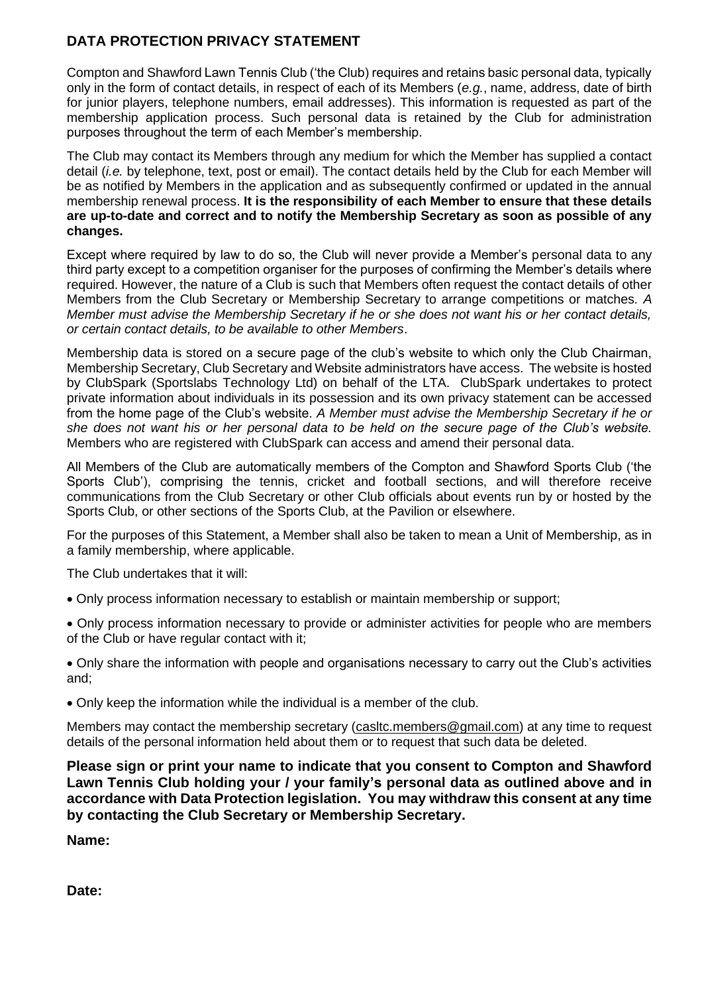#### **DATA PROTECTION PRIVACY STATEMENT**

Compton and Shawford Lawn Tennis Club ('the Club) requires and retains basic personal data, typically only in the form of contact details, in respect of each of its Members (*e.g.*, name, address, date of birth for junior players, telephone numbers, email addresses). This information is requested as part of the membership application process. Such personal data is retained by the Club for administration purposes throughout the term of each Member's membership.

The Club may contact its Members through any medium for which the Member has supplied a contact detail (*i.e.* by telephone, text, post or email). The contact details held by the Club for each Member will be as notified by Members in the application and as subsequently confirmed or updated in the annual membership renewal process. **It is the responsibility of each Member to ensure that these details are up-to-date and correct and to notify the Membership Secretary as soon as possible of any changes.**

Except where required by law to do so, the Club will never provide a Member's personal data to any third party except to a competition organiser for the purposes of confirming the Member's details where required. However, the nature of a Club is such that Members often request the contact details of other Members from the Club Secretary or Membership Secretary to arrange competitions or matches*. A Member must advise the Membership Secretary if he or she does not want his or her contact details, or certain contact details, to be available to other Members*.

Membership data is stored on a secure page of the club's website to which only the Club Chairman, Membership Secretary, Club Secretary and Website administrators have access. The website is hosted by ClubSpark (Sportslabs Technology Ltd) on behalf of the LTA. ClubSpark undertakes to protect private information about individuals in its possession and its own privacy statement can be accessed from the home page of the Club's website. *A Member must advise the Membership Secretary if he or she does not want his or her personal data to be held on the secure page of the Club's website.*  Members who are registered with ClubSpark can access and amend their personal data.

All Members of the Club are automatically members of the Compton and Shawford Sports Club ('the Sports Club'), comprising the tennis, cricket and football sections, and will therefore receive communications from the Club Secretary or other Club officials about events run by or hosted by the Sports Club, or other sections of the Sports Club, at the Pavilion or elsewhere.

For the purposes of this Statement, a Member shall also be taken to mean a Unit of Membership, as in a family membership, where applicable.

The Club undertakes that it will:

- Only process information necessary to establish or maintain membership or support;
- Only process information necessary to provide or administer activities for people who are members of the Club or have regular contact with it;

• Only share the information with people and organisations necessary to carry out the Club's activities and;

• Only keep the information while the individual is a member of the club.

Members may contact the membership secretary (casitc.members@gmail.com) at any time to request details of the personal information held about them or to request that such data be deleted.

**Please sign or print your name to indicate that you consent to Compton and Shawford Lawn Tennis Club holding your / your family's personal data as outlined above and in accordance with Data Protection legislation. You may withdraw this consent at any time by contacting the Club Secretary or Membership Secretary.**

**Name:** 

**Date:**